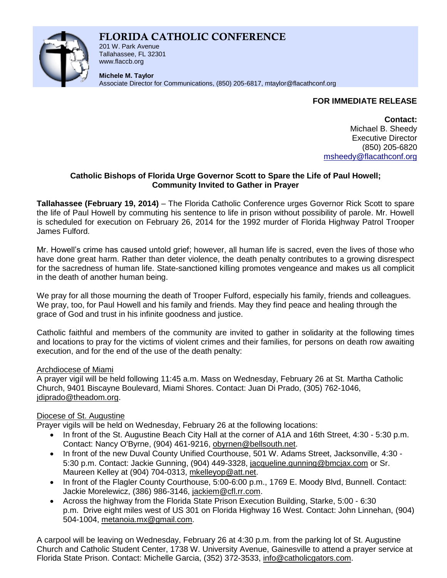# **FLORIDA CATHOLIC CONFERENCE**



201 W. Park Avenue Tallahassee, FL 32301 www.flaccb.org

**Michele M. Taylor** Associate Director for Communications, (850) 205-6817, [mtaylor@flacathconf.org](mailto:mtaylor@flacathconf.org)

## **FOR IMMEDIATE RELEASE**

**Contact:** Michael B. Sheedy Executive Director (850) 205-6820 [msheedy@flacathconf.org](mailto:msheedy@flacathconf.org)

#### **Catholic Bishops of Florida Urge Governor Scott to Spare the Life of Paul Howell; Community Invited to Gather in Prayer**

**Tallahassee (February 19, 2014)** – The Florida Catholic Conference urges Governor Rick Scott to spare the life of Paul Howell by commuting his sentence to life in prison without possibility of parole. Mr. Howell is scheduled for execution on February 26, 2014 for the 1992 murder of Florida Highway Patrol Trooper James Fulford.

Mr. Howell's crime has caused untold grief; however, all human life is sacred, even the lives of those who have done great harm. Rather than deter violence, the death penalty contributes to a growing disrespect for the sacredness of human life. State-sanctioned killing promotes vengeance and makes us all complicit in the death of another human being.

We pray for all those mourning the death of Trooper Fulford, especially his family, friends and colleagues. We pray, too, for Paul Howell and his family and friends. May they find peace and healing through the grace of God and trust in his infinite goodness and justice.

Catholic faithful and members of the community are invited to gather in solidarity at the following times and locations to pray for the victims of violent crimes and their families, for persons on death row awaiting execution, and for the end of the use of the death penalty:

## Archdiocese of Miami

A prayer vigil will be held following 11:45 a.m. Mass on Wednesday, February 26 at St. Martha Catholic Church, 9401 Biscayne Boulevard, Miami Shores. Contact: Juan Di Prado, (305) 762-1046, [jdiprado@theadom.org.](mailto:jdiprado@theadom.org)

## Diocese of St. Augustine

Prayer vigils will be held on Wednesday, February 26 at the following locations:

- In front of the St. Augustine Beach City Hall at the corner of A1A and 16th Street, 4:30 5:30 p.m. Contact: Nancy O'Byrne, (904) 461-9216, [obyrnen@bellsouth.net.](http://us.mc1850.mail.yahoo.com/mc/compose?to=obyrnen@bellsouth.net)
- In front of the new Duval County Unified Courthouse, 501 W. Adams Street, Jacksonville, 4:30 -5:30 p.m. Contact: Jackie Gunning, (904) 449-3328, [jacqueline.gunning@bmcjax.com](mailto:jacqueline.gunning@bmcjax.com) or Sr. Maureen Kelley at (904) 704-0313, [mkelleyop@att.net.](mailto:mkelleyop@att.net)
- In front of the Flagler County Courthouse, 5:00-6:00 p.m., 1769 E. Moody Blvd, Bunnell. Contact: Jackie Morelewicz, (386) 986-3146, [jackiem@cfl.rr.com.](mailto:jackiem@cfl.rr.com)
- Across the highway from the Florida State Prison Execution Building, Starke, 5:00 6:30 p.m. Drive eight miles west of US 301 on Florida Highway 16 West. Contact: John Linnehan, (904) 504-1004, [metanoia.mx@gmail.com.](mailto:metanoia.mx@gmail.com)

A carpool will be leaving on Wednesday, February 26 at 4:30 p.m. from the parking lot of St. Augustine Church and Catholic Student Center, 1738 W. University Avenue, Gainesville to attend a prayer service at Florida State Prison. Contact: Michelle Garcia, (352) 372-3533, [info@catholicgators.com.](mailto:info@catholicgators.com)